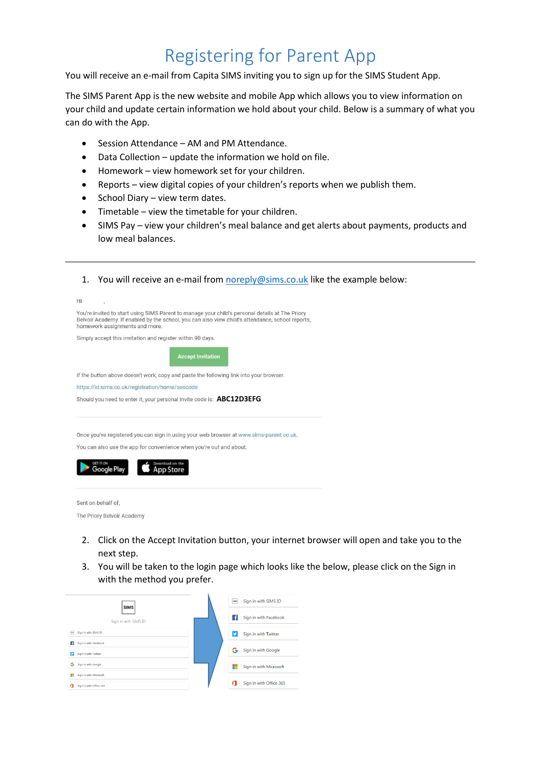### Registering for Parent App

You will receive an e-mail from Capita SIMS inviting you to sign up for the SIMS Student App.

The SIMS Parent App is the new website and mobile App which allows you to view information on your child and update certain information we hold about your child. Below is a summary of what you can do with the App.

- Session Attendance AM and PM Attendance.
- Data Collection update the information we hold on file.
- Homework view homework set for your children.
- Reports view digital copies of your children's reports when we publish them.
- $\bullet$  School Diary view term dates.
- Timetable view the timetable for your children.
- SIMS Pay view your children's meal balance and get alerts about payments, products and low meal balances.
- 1. You will receive an e-mail fro[m noreply@sims.co.uk](mailto:noreply@sims.co.uk) like the example below:

| Hi | ï                                                                                                                                                                                                                                     |  |  |  |  |  |  |
|----|---------------------------------------------------------------------------------------------------------------------------------------------------------------------------------------------------------------------------------------|--|--|--|--|--|--|
|    | You're invited to start using SIMS Parent to manage your child's personal details at The Priory<br>Belvoir Academy. If enabled by the school, you can also view child's attendance, school reports,<br>homework assignments and more. |  |  |  |  |  |  |
|    | Simply accept this invitation and register within 90 days.                                                                                                                                                                            |  |  |  |  |  |  |
|    | <b>Accept Invitation</b>                                                                                                                                                                                                              |  |  |  |  |  |  |
|    | If the button above doesn't work, copy and paste the following link into your browser.                                                                                                                                                |  |  |  |  |  |  |
|    | https://id.sims.co.uk/registration/home/soscode                                                                                                                                                                                       |  |  |  |  |  |  |
|    | Should you need to enter it, your personal invite code is: ABC12D3EFG                                                                                                                                                                 |  |  |  |  |  |  |
|    | Once you've registered you can sign in using your web browser at www.sims-parent.co.uk.<br>You can also use the app for convenience when you're out and about.<br><b>GET IT ON</b><br>Download on the<br>Google Play<br>App Store     |  |  |  |  |  |  |
|    | Sent on behalf of.<br>The Priory Belvoir Academy                                                                                                                                                                                      |  |  |  |  |  |  |

- 2. Click on the Accept Invitation button, your internet browser will open and take you to the next step.
- 3. You will be taken to the login page which looks like the below, please click on the Sign in with the method you prefer.

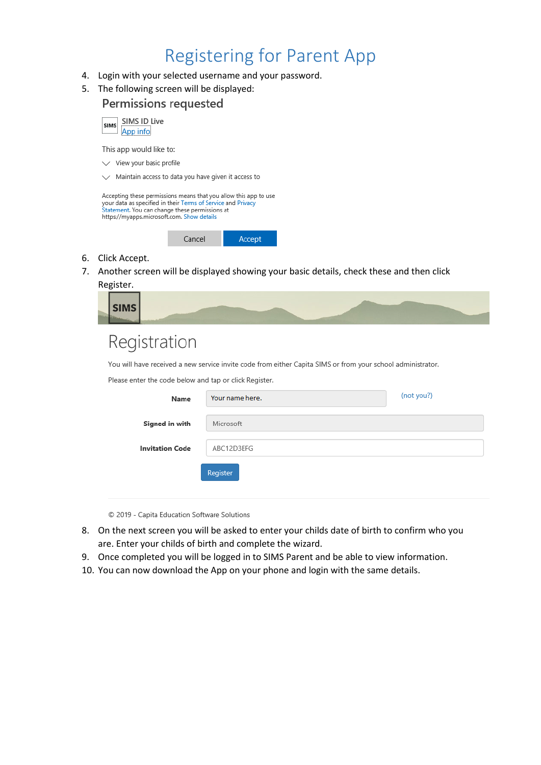### Registering for Parent App

- 4. Login with your selected username and your password.
- 5. The following screen will be displayed:

|    | Permissions requested                                                                                                                                                                                                            |        |        |                                                                                         |  |  |  |
|----|----------------------------------------------------------------------------------------------------------------------------------------------------------------------------------------------------------------------------------|--------|--------|-----------------------------------------------------------------------------------------|--|--|--|
|    | SIMS ID Live<br><b>SIMS</b><br>App info                                                                                                                                                                                          |        |        |                                                                                         |  |  |  |
|    | This app would like to:                                                                                                                                                                                                          |        |        |                                                                                         |  |  |  |
|    | View your basic profile                                                                                                                                                                                                          |        |        |                                                                                         |  |  |  |
|    | Maintain access to data you have given it access to                                                                                                                                                                              |        |        |                                                                                         |  |  |  |
|    | Accepting these permissions means that you allow this app to use<br>your data as specified in their Terms of Service and Privacy<br>Statement. You can change these permissions at<br>https://myapps.microsoft.com. Show details |        |        |                                                                                         |  |  |  |
|    |                                                                                                                                                                                                                                  | Cancel | Accept |                                                                                         |  |  |  |
| 6. | Click Accept.                                                                                                                                                                                                                    |        |        |                                                                                         |  |  |  |
| 7. | Register.                                                                                                                                                                                                                        |        |        | Another screen will be displayed showing your basic details, check these and then click |  |  |  |

| 18.80 |  |
|-------|--|
|       |  |

# Registration

You will have received a new service invite code from either Capita SIMS or from your school administrator.

|  |  |  |  | Please enter the code below and tap or click Register. |
|--|--|--|--|--------------------------------------------------------|
|  |  |  |  |                                                        |

| Name                   | Your name here. | (not you?) |
|------------------------|-----------------|------------|
| Signed in with         | Microsoft       |            |
| <b>Invitation Code</b> | ABC12D3EFG      |            |
|                        | Register        |            |
|                        |                 |            |

© 2019 - Capita Education Software Solutions

- 8. On the next screen you will be asked to enter your childs date of birth to confirm who you are. Enter your childs of birth and complete the wizard.
- 9. Once completed you will be logged in to SIMS Parent and be able to view information.
- 10. You can now download the App on your phone and login with the same details.